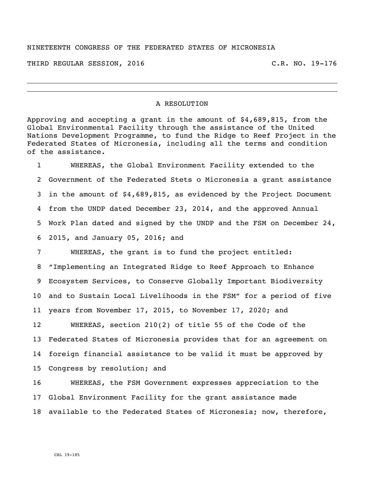## NINETEENTH CONGRESS OF THE FEDERATED STATES OF MICRONESIA

THIRD REGULAR SESSION, 2016 C.R. NO. 19-176

## A RESOLUTION

Approving and accepting a grant in the amount of \$4,689,815, from the Global Environmental Facility through the assistance of the United Nations Development Programme, to fund the Ridge to Reef Project in the Federated States of Micronesia, including all the terms and condition of the assistance.

 WHEREAS, the Global Environment Facility extended to the Government of the Federated Stets o Micronesia a grant assistance in the amount of \$4,689,815, as evidenced by the Project Document from the UNDP dated December 23, 2014, and the approved Annual Work Plan dated and signed by the UNDP and the FSM on December 24, 2015, and January 05, 2016; and

 WHEREAS, the grant is to fund the project entitled: "Implementing an Integrated Ridge to Reef Approach to Enhance Ecosystem Services, to Conserve Globally Important Biodiversity and to Sustain Local Livelihoods in the FSM" for a period of five years from November 17, 2015, to November 17, 2020; and

 WHEREAS, section 210(2) of title 55 of the Code of the Federated States of Micronesia provides that for an agreement on foreign financial assistance to be valid it must be approved by Congress by resolution; and

 WHEREAS, the FSM Government expresses appreciation to the Global Environment Facility for the grant assistance made available to the Federated States of Micronesia; now, therefore,